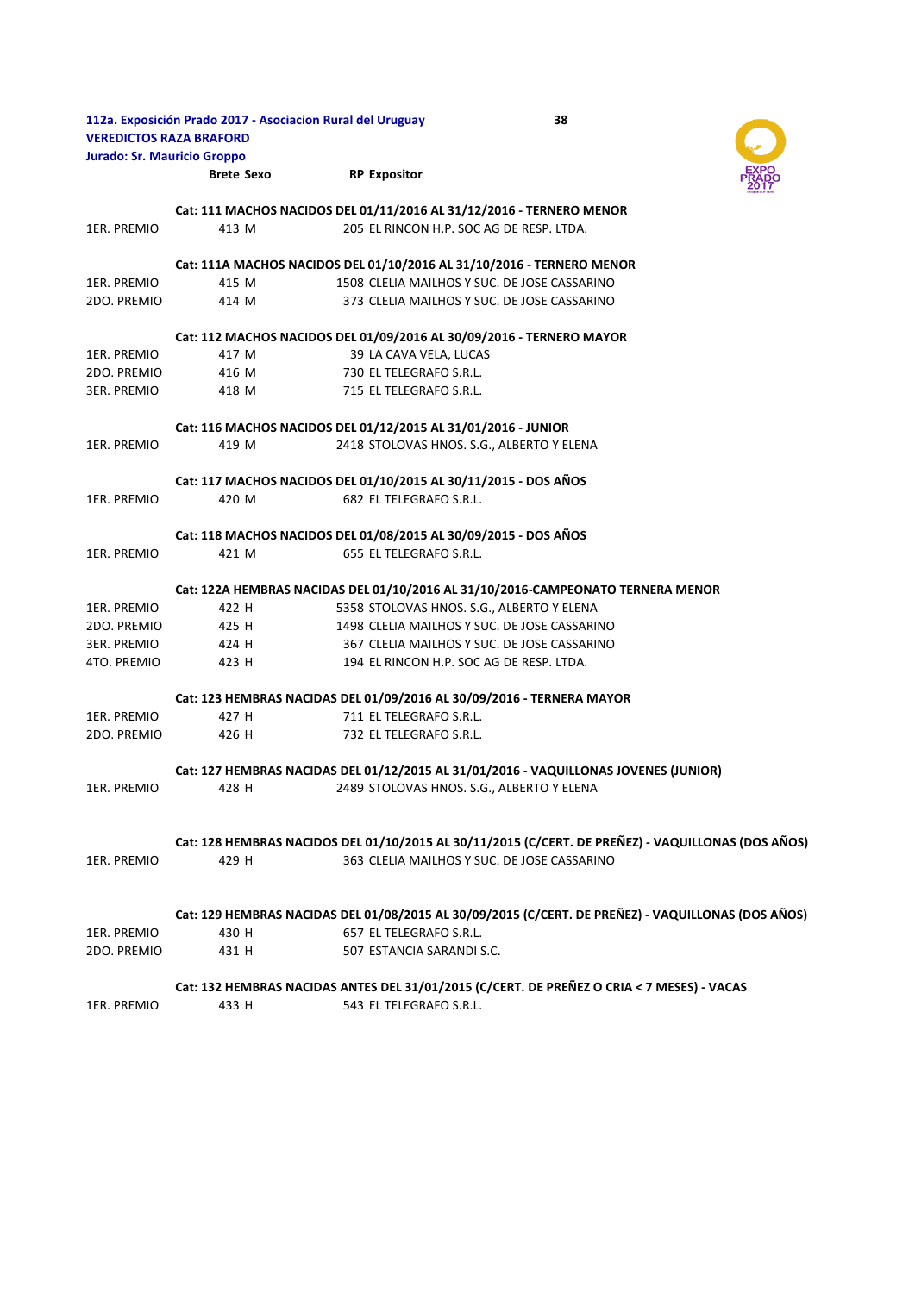| 112a. Exposición Prado 2017 - Asociacion Rural del Uruguay<br>38<br><b>VEREDICTOS RAZA BRAFORD</b> |                                                                                                    |                                                                 |                                                                                            |  |
|----------------------------------------------------------------------------------------------------|----------------------------------------------------------------------------------------------------|-----------------------------------------------------------------|--------------------------------------------------------------------------------------------|--|
| <b>Jurado: Sr. Mauricio Groppo</b>                                                                 |                                                                                                    |                                                                 |                                                                                            |  |
|                                                                                                    | <b>Brete Sexo</b>                                                                                  | <b>RP Expositor</b>                                             |                                                                                            |  |
|                                                                                                    |                                                                                                    |                                                                 | Cat: 111 MACHOS NACIDOS DEL 01/11/2016 AL 31/12/2016 - TERNERO MENOR                       |  |
| 1ER. PREMIO                                                                                        | 413 M                                                                                              |                                                                 | 205 EL RINCON H.P. SOC AG DE RESP. LTDA.                                                   |  |
|                                                                                                    |                                                                                                    |                                                                 | Cat: 111A MACHOS NACIDOS DEL 01/10/2016 AL 31/10/2016 - TERNERO MENOR                      |  |
| 1ER. PREMIO                                                                                        | 415 M                                                                                              |                                                                 | 1508 CLELIA MAILHOS Y SUC. DE JOSE CASSARINO                                               |  |
| 2DO. PREMIO                                                                                        | 414 M                                                                                              |                                                                 | 373 CLELIA MAILHOS Y SUC. DE JOSE CASSARINO                                                |  |
|                                                                                                    |                                                                                                    |                                                                 | Cat: 112 MACHOS NACIDOS DEL 01/09/2016 AL 30/09/2016 - TERNERO MAYOR                       |  |
| 1ER. PREMIO                                                                                        | 417 M                                                                                              | 39 LA CAVA VELA, LUCAS                                          |                                                                                            |  |
| 2DO. PREMIO                                                                                        | 416 M                                                                                              | 730 EL TELEGRAFO S.R.L.                                         |                                                                                            |  |
| 3ER. PREMIO                                                                                        | 418 M                                                                                              | 715 EL TELEGRAFO S.R.L.                                         |                                                                                            |  |
|                                                                                                    |                                                                                                    | Cat: 116 MACHOS NACIDOS DEL 01/12/2015 AL 31/01/2016 - JUNIOR   |                                                                                            |  |
| 1ER. PREMIO                                                                                        | 419 M                                                                                              |                                                                 | 2418 STOLOVAS HNOS. S.G., ALBERTO Y ELENA                                                  |  |
|                                                                                                    |                                                                                                    | Cat: 117 MACHOS NACIDOS DEL 01/10/2015 AL 30/11/2015 - DOS AÑOS |                                                                                            |  |
| 1ER. PREMIO                                                                                        | 420 M                                                                                              | 682 EL TELEGRAFO S.R.L.                                         |                                                                                            |  |
|                                                                                                    |                                                                                                    | Cat: 118 MACHOS NACIDOS DEL 01/08/2015 AL 30/09/2015 - DOS AÑOS |                                                                                            |  |
| 1ER. PREMIO                                                                                        | 421 M                                                                                              | 655 EL TELEGRAFO S.R.L.                                         |                                                                                            |  |
|                                                                                                    |                                                                                                    |                                                                 | Cat: 122A HEMBRAS NACIDAS DEL 01/10/2016 AL 31/10/2016-CAMPEONATO TERNERA MENOR            |  |
| 1ER. PREMIO                                                                                        | 422 H                                                                                              |                                                                 | 5358 STOLOVAS HNOS. S.G., ALBERTO Y ELENA                                                  |  |
| 2DO. PREMIO                                                                                        | 425 H                                                                                              |                                                                 | 1498 CLELIA MAILHOS Y SUC. DE JOSE CASSARINO                                               |  |
| 3ER. PREMIO                                                                                        | 424 H                                                                                              |                                                                 | 367 CLELIA MAILHOS Y SUC. DE JOSE CASSARINO                                                |  |
| 4TO. PREMIO                                                                                        | 423 H                                                                                              |                                                                 | 194 EL RINCON H.P. SOC AG DE RESP. LTDA.                                                   |  |
|                                                                                                    | Cat: 123 HEMBRAS NACIDAS DEL 01/09/2016 AL 30/09/2016 - TERNERA MAYOR                              |                                                                 |                                                                                            |  |
| 1ER. PREMIO                                                                                        | 427 H                                                                                              | 711 EL TELEGRAFO S.R.L.                                         |                                                                                            |  |
| 2DO. PREMIO                                                                                        | 426 H                                                                                              | 732 EL TELEGRAFO S.R.L.                                         |                                                                                            |  |
|                                                                                                    |                                                                                                    |                                                                 | Cat: 127 HEMBRAS NACIDAS DEL 01/12/2015 AL 31/01/2016 - VAQUILLONAS JOVENES (JUNIOR)       |  |
| 1ER. PREMIO                                                                                        | 428 H                                                                                              |                                                                 | 2489 STOLOVAS HNOS. S.G., ALBERTO Y ELENA                                                  |  |
|                                                                                                    | Cat: 128 HEMBRAS NACIDOS DEL 01/10/2015 AL 30/11/2015 (C/CERT. DE PREÑEZ) - VAQUILLONAS (DOS AÑOS) |                                                                 |                                                                                            |  |
| 1ER. PREMIO                                                                                        | 429 H                                                                                              |                                                                 | 363 CLELIA MAILHOS Y SUC. DE JOSE CASSARINO                                                |  |
|                                                                                                    | Cat: 129 HEMBRAS NACIDAS DEL 01/08/2015 AL 30/09/2015 (C/CERT. DE PREÑEZ) - VAQUILLONAS (DOS AÑOS) |                                                                 |                                                                                            |  |
| 1ER. PREMIO                                                                                        | 430 H                                                                                              | 657 EL TELEGRAFO S.R.L.                                         |                                                                                            |  |
| 2DO. PREMIO                                                                                        | 431 H                                                                                              | 507 ESTANCIA SARANDI S.C.                                       |                                                                                            |  |
|                                                                                                    |                                                                                                    |                                                                 | Cat: 132 HEMBRAS NACIDAS ANTES DEL 31/01/2015 (C/CERT. DE PREÑEZ O CRIA < 7 MESES) - VACAS |  |
| 1ER. PREMIO                                                                                        | 433 H                                                                                              | 543 EL TELEGRAFO S.R.L.                                         |                                                                                            |  |